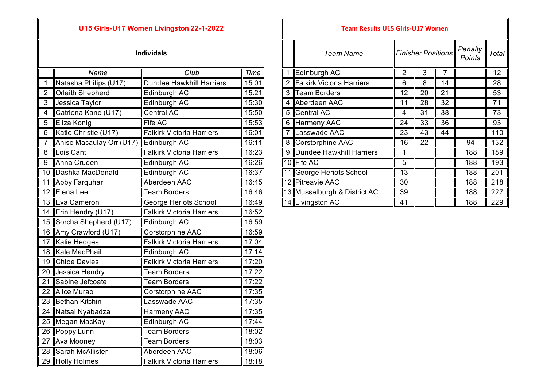|  | <b>Individals</b> |  |
|--|-------------------|--|
|  |                   |  |
|  |                   |  |

|                | Name                     | Club                             | <b>Time</b> |                | Edinburgh AC                 | $\overline{2}$  | 3               | $\overline{7}$  |     | 12  |
|----------------|--------------------------|----------------------------------|-------------|----------------|------------------------------|-----------------|-----------------|-----------------|-----|-----|
|                | Natasha Philips (U17)    | Dundee Hawkhill Harriers         | 15:01       | $\overline{2}$ | Falkirk Victoria Harriers    | 6               | 8               | 14              |     | 28  |
| $\overline{2}$ | <b>Orlaith Shepherd</b>  | Edinburgh AC                     | 15:21       | $\mathbf{3}$   | <b>Team Borders</b>          | $\overline{12}$ | 20              | 21              |     | 53  |
| 3              | Jessica Taylor           | Edinburgh AC                     | 15:30       | 4              | Aberdeen AAC                 | 11              | 28              | 32              |     | 71  |
| 4              | Catriona Kane (U17)      | <b>Central AC</b>                | 15:50       |                | 5 Central AC                 | 4               | 31              | 38              |     | 73  |
| 5              | Eliza Konig              | Fife AC                          | 15:53       | 6              | <b>Harmeny AAC</b>           | 24              | 33              | $\overline{36}$ |     | 93  |
| 6              | Katie Christie (U17)     | <b>Falkirk Victoria Harriers</b> | 16:01       | $\overline{7}$ | Lasswade AAC                 | 23              | 43              | 44              |     | 110 |
| $\overline{7}$ | Anise Macaulay Orr (U17) | Edinburgh AC                     | 16:11       | 8              | Corstorphine AAC             | 16              | $\overline{22}$ |                 | 94  | 132 |
| 8              | Lois Cant                | <b>Falkirk Victoria Harriers</b> | 16:23       | 9              | Dundee Hawkhill Harriers     |                 |                 |                 | 188 | 189 |
| 9              | Anna Cruden              | Edinburgh AC                     | 16:26       |                | 10 Fife AC                   | 5               |                 |                 | 188 | 193 |
| 10             | Dashka MacDonald         | Edinburgh AC                     | 16:37       |                | 11 George Heriots School     | 13              |                 |                 | 188 | 201 |
| 11             | <b>Abby Farquhar</b>     | Aberdeen AAC                     | 16:45       |                | 12 Pitreavie AAC             | 30              |                 |                 | 188 | 218 |
| 12             | Elena Lee                | <b>Team Borders</b>              | 16:46       |                | 13 Musselburgh & District AC | 39              |                 |                 | 188 | 227 |
| 13             | Eva Cameron              | George Heriots School            | 16:49       |                | 14 Livingston AC             | 41              |                 |                 | 188 | 229 |
| 14             | Erin Hendry (U17)        | <b>Falkirk Victoria Harriers</b> | 16:52       |                |                              |                 |                 |                 |     |     |
| 15             | Sorcha Shepherd (U17)    | Edinburgh AC                     | 16:59       |                |                              |                 |                 |                 |     |     |
| 16             | Amy Crawford (U17)       | Corstorphine AAC                 | 16:59       |                |                              |                 |                 |                 |     |     |
| 17             | Katie Hedges             | <b>Falkirk Victoria Harriers</b> | 17:04       |                |                              |                 |                 |                 |     |     |
| 18             | <b>Kate MacPhail</b>     | Edinburgh AC                     | 17:14       |                |                              |                 |                 |                 |     |     |
| 19             | <b>Chloe Davies</b>      | <b>Falkirk Victoria Harriers</b> | 17:20       |                |                              |                 |                 |                 |     |     |
| 20             | Jessica Hendry           | <b>Team Borders</b>              | 17:22       |                |                              |                 |                 |                 |     |     |
| 21             | Sabine Jefcoate          | <b>Team Borders</b>              | 17:22       |                |                              |                 |                 |                 |     |     |
| 22             | <b>Alice Murao</b>       | Corstorphine AAC                 | 17:35       |                |                              |                 |                 |                 |     |     |
| 23             | Bethan Kitchin           | Lasswade AAC                     | 17:35       |                |                              |                 |                 |                 |     |     |
| 24             | Natsai Nyabadza          | Harmeny AAC                      | 17:35       |                |                              |                 |                 |                 |     |     |
| 25             | Megan MacKay             | Edinburgh AC                     | 17:44       |                |                              |                 |                 |                 |     |     |
| 26             | Poppy Lunn               | <b>Team Borders</b>              | 18:02       |                |                              |                 |                 |                 |     |     |
| 27             | Ava Mooney               | <b>Team Borders</b>              | 18:03       |                |                              |                 |                 |                 |     |     |
| 28             | Sarah McAllister         | Aberdeen AAC                     | 18:06       |                |                              |                 |                 |                 |     |     |
|                | 29 Holly Holmes          | <b>Falkirk Victoria Harriers</b> | 18:18       |                |                              |                 |                 |                 |     |     |

## *Team Name Penalty*  **Individals** *Finisher PositionsPoints Total* 1 Edinburgh AC 2 3 7 12 2 Falkirk Victoria Harriers 16 8 14 | 28 3 Team Borders 12 20 21 53 4 Aberdeen AAC 11 28 32 71 6 Harmeny AAC 24 33 36 93 7 Lasswade AAC 23 43 44 110 8 Corstorphine AAC 16 22 94 132 9 Dundee Hawkhill Harriers 1 1 1 188 189 11 George Heriots School 13 1 13 1 188 201 12 Pitreavie AAC 16:45 12 12 12 12 130 1 12 138 218 13 Musselburgh & District AC 39 188 188 227 14 Livingston AC 16:41 16:49 188 229 **U15 Girls-U17 Women Livingston 22-1-2022 Team Results U15 Girls-U17 Women**